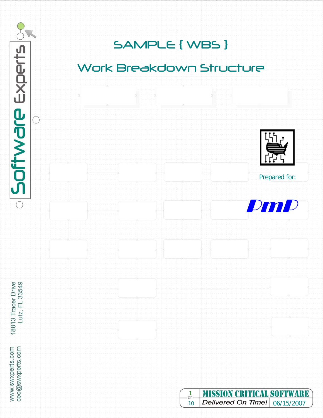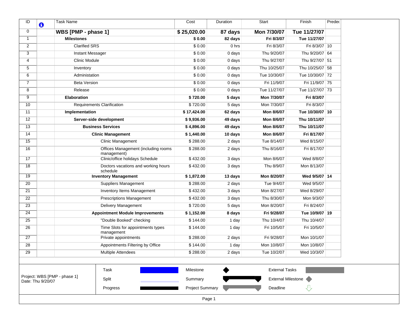| ID<br>O                                           | <b>Task Name</b>                                   | Cost                   | Duration | Start                     | Finish           | Predec |
|---------------------------------------------------|----------------------------------------------------|------------------------|----------|---------------------------|------------------|--------|
| $\mathbf 0$                                       | WBS [PMP - phase 1]                                | \$25,020.00            | 87 days  | Mon 7/30/07               | Tue 11/27/07     |        |
| $\mathbf{1}$                                      | <b>Milestones</b>                                  | \$0.00                 | 82 days  | Fri 8/3/07                | Tue 11/27/07     |        |
| $\overline{2}$                                    | <b>Clarified SRS</b>                               | \$0.00                 | 0 hrs    | Fri 8/3/07                | Fri 8/3/07 10    |        |
| 3                                                 | Instant Messager                                   | \$0.00                 | 0 days   | Thu 9/20/07               | Thu 9/20/07 64   |        |
| 4                                                 | Clinic Module                                      | \$0.00                 | 0 days   | Thu 9/27/07               | Thu 9/27/07 51   |        |
| 5                                                 | Inventory                                          | \$0.00                 | 0 days   | Thu 10/25/07              | Thu 10/25/07 58  |        |
| 6                                                 | Administation                                      | \$0.00                 | 0 days   | Tue 10/30/07              | Tue 10/30/07 72  |        |
| $\overline{7}$                                    | <b>Beta Version</b>                                | \$0.00                 | 0 days   | Fri 11/9/07               | Fri 11/9/07 75   |        |
| 8                                                 | Release                                            | \$0.00                 | 0 days   | Tue 11/27/07              | Tue 11/27/07 73  |        |
| 9                                                 | Elaboration                                        | \$720.00               | 5 days   | Mon 7/30/07               | Fri 8/3/07       |        |
| 10                                                | <b>Requirements Clarification</b>                  | \$720.00               | 5 days   | Mon 7/30/07               | Fri 8/3/07       |        |
| 11                                                | Implementation                                     | \$17,424.00            | 62 days  | Mon 8/6/07                | Tue 10/30/07 10  |        |
| 12                                                | Server-side development                            | \$9,936.00             | 49 days  | Mon 8/6/07                | Thu 10/11/07     |        |
| 13                                                | <b>Business Services</b>                           | \$4,896.00             | 49 days  | Mon 8/6/07                | Thu 10/11/07     |        |
| 14                                                | <b>Clinic Management</b>                           | \$1.440.00             | 10 days  | Mon 8/6/07                | Fri 8/17/07      |        |
| 15                                                | Clinic Management                                  | \$288.00               | 2 days   | Tue 8/14/07               | Wed 8/15/07      |        |
| 16                                                | Offices Management (including rooms<br>management) | \$288.00               | 2 days   | Thu 8/16/07               | Fri 8/17/07      |        |
| 17                                                | Clinic/office holidays Schedule                    | \$432.00               | 3 days   | Mon 8/6/07                | Wed 8/8/07       |        |
| $\overline{18}$                                   | Doctors vacations and working hours<br>schedule    | \$432.00               | 3 days   | Thu 8/9/07                | Mon 8/13/07      |        |
| $\overline{19}$                                   | <b>Inventory Management</b>                        | \$1,872.00             | 13 days  | Mon 8/20/07               | Wed 9/5/07 14    |        |
| $\overline{20}$                                   | <b>Suppliers Management</b>                        | \$288.00               | 2 days   | Tue 9/4/07                | Wed 9/5/07       |        |
| $\overline{21}$                                   | <b>Inventory Items Management</b>                  | \$432.00               | 3 days   | Mon 8/27/07               | Wed 8/29/07      |        |
| 22                                                | <b>Prescriptions Management</b>                    | \$432.00               | 3 days   | Thu 8/30/07               | Mon 9/3/07       |        |
| $\overline{23}$                                   | Delivery Management                                | \$720.00               | 5 days   | Mon 8/20/07               | Fri 8/24/07      |        |
| 24                                                | <b>Appointment Module Improvements</b>             | \$1,152.00             | 8 days   | Fri 9/28/07               | Tue 10/9/07   19 |        |
| 25                                                | "Double Booked" checking                           | \$144.00               | 1 day    | Thu 10/4/07               | Thu 10/4/07      |        |
| $\overline{26}$                                   | Time Slots for appointments types<br>management    | \$144.00               | 1 day    | Fri 10/5/07               | Fri 10/5/07      |        |
| 27                                                | Private appointments                               | \$288.00               | 2 days   | Fri 9/28/07               | Mon 10/1/07      |        |
| $\overline{28}$                                   | Appointments Filtering by Office                   | \$144.00               | 1 day    | Mon 10/8/07               | Mon 10/8/07      |        |
| $\overline{29}$                                   | <b>Multiple Attendees</b>                          | \$288.00               | 2 days   | Tue 10/2/07               | Wed 10/3/07      |        |
|                                                   |                                                    |                        |          |                           |                  |        |
|                                                   | Task                                               | Milestone              |          | <b>External Tasks</b>     |                  |        |
| Project: WBS [PMP - phase 1]<br>Date: Thu 9/20/07 | Split                                              | Summary                |          | <b>External Milestone</b> |                  |        |
|                                                   | Progress                                           | <b>Project Summary</b> |          | Deadline                  | ひ                |        |
|                                                   |                                                    | Page 1                 |          |                           |                  |        |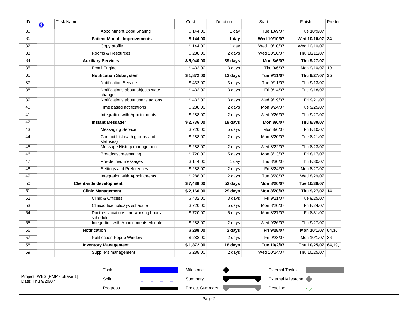| ID<br>O           | <b>Task Name</b>             |                                                 |                                | Cost                   | Duration            | Start                     | Finish              | Predec |
|-------------------|------------------------------|-------------------------------------------------|--------------------------------|------------------------|---------------------|---------------------------|---------------------|--------|
| 30                |                              | Appointment Book Sharing                        |                                | \$144.00               | 1 day               | Tue 10/9/07               | Tue 10/9/07         |        |
| 31                |                              | <b>Patient Module Improvements</b>              |                                | \$144.00               | 1 day               | Wed 10/10/07              | Wed 10/10/07 24     |        |
| 32                |                              | Copy profile                                    |                                | \$144.00               | 1 day               | Wed 10/10/07              | Wed 10/10/07        |        |
| 33                |                              | Rooms & Resources                               |                                | \$288.00               | 2 days              | Wed 10/10/07              | Thu 10/11/07        |        |
| 34                |                              | <b>Auxiliary Services</b>                       |                                | \$5,040.00             | 39 days             | Mon 8/6/07                | Thu 9/27/07         |        |
| 35                |                              | <b>Email Engine</b>                             |                                | \$432.00               | 3 days              | Thu 9/6/07                | Mon 9/10/07 19      |        |
| $\overline{36}$   |                              | <b>Notification Subsystem</b>                   |                                | \$1,872.00             | 13 days             | Tue 9/11/07               | Thu 9/27/07 35      |        |
| $\overline{37}$   |                              | Notification Service                            |                                | \$432.00               | 3 days              | Tue 9/11/07               | Thu 9/13/07         |        |
| $\overline{38}$   |                              | Notifications about objects state<br>changes    |                                | \$432.00               | 3 days              | Fri 9/14/07               | Tue 9/18/07         |        |
| 39                |                              | Notifications about user's actions              |                                | \$432.00               | 3 days              | Wed 9/19/07               | Fri 9/21/07         |        |
| 40                |                              | Time based notifications                        |                                | \$288.00               | 2 days              | Mon 9/24/07               | Tue 9/25/07         |        |
| 41                |                              | Integration with Appointments                   |                                | \$288.00               | 2 days              | Wed 9/26/07               | Thu 9/27/07         |        |
| 42                |                              | <b>Instant Messager</b>                         |                                | \$2,736.00             | 19 days             | Mon 8/6/07                | Thu 8/30/07         |        |
| 43                |                              | <b>Messaging Service</b>                        |                                | \$720.00               | 5 days              | Mon 8/6/07                | Fri 8/10/07         |        |
| 44                |                              | Contact List (with groups and<br>statuses)      |                                | \$288.00               | 2 days              | Mon 8/20/07               | Tue 8/21/07         |        |
| 45                |                              | Message History management                      |                                | \$288.00               | 2 days              | Wed 8/22/07               | Thu 8/23/07         |        |
| 46                |                              | Broadcast messaging                             |                                | \$720.00               | 5 days              | Mon 8/13/07               | Fri 8/17/07         |        |
| 47                |                              | Pre-defined messages                            |                                | \$144.00               | 1 day               | Thu 8/30/07               | Thu 8/30/07         |        |
| 48                |                              | Settings and Preferences                        |                                | \$288.00               | $\overline{2}$ days | Fri 8/24/07               | Mon 8/27/07         |        |
| 49                |                              | Integration with Appointments                   |                                | \$288.00               | 2 days              | Tue 8/28/07               | Wed 8/29/07         |        |
| 50                |                              | <b>Client-side development</b>                  |                                | \$7,488.00             | 52 days             | Mon 8/20/07               | Tue 10/30/07        |        |
| 51                |                              | <b>Clinic Management</b>                        |                                | \$2,160.00             | 29 days             | Mon 8/20/07               | Thu 9/27/07 14      |        |
| 52                |                              | Clinic & Officess                               |                                | \$432.00               | 3 days              | Fri 9/21/07               | Tue 9/25/07         |        |
| 53                |                              | Clinic/office holidays schedule                 |                                | \$720.00               | 5 days              | Mon 8/20/07               | Fri 8/24/07         |        |
| 54                |                              | Doctors vacations and working hours<br>schedule |                                | \$720.00               | 5 days              | Mon 8/27/07               | Fri 8/31/07         |        |
| 55                |                              | Integration with Appointments Module            |                                | \$288.00               | 2 days              | Wed 9/26/07               | Thu 9/27/07         |        |
| 56                |                              | <b>Notification</b>                             |                                | \$288.00               | 2 days              | Fri 9/28/07               | Mon 10/1/07 64,36   |        |
| 57                |                              | Notification Popup Window                       |                                | \$288.00               | 2 days              | Fri 9/28/07               | Mon 10/1/07 36      |        |
| 58                |                              | <b>Inventory Management</b>                     |                                | \$1,872.00             | 18 days             | Tue 10/2/07               | Thu 10/25/07 64,19, |        |
| 59                |                              | Suppliers management                            |                                | \$288.00               | 2 days              | Wed 10/24/07              | Thu 10/25/07        |        |
|                   |                              |                                                 |                                |                        |                     |                           |                     |        |
|                   |                              | Task                                            |                                | Milestone              |                     | <b>External Tasks</b>     |                     |        |
| Date: Thu 9/20/07 | Project: WBS [PMP - phase 1] | Split                                           | ,,,,,,,,,,,,,,,,,,,,,,,,,,,,,, | Summary                |                     | <b>External Milestone</b> |                     |        |
|                   |                              | Progress                                        |                                | <b>Project Summary</b> |                     | Deadline                  |                     |        |
|                   |                              |                                                 |                                | Page 2                 |                     |                           |                     |        |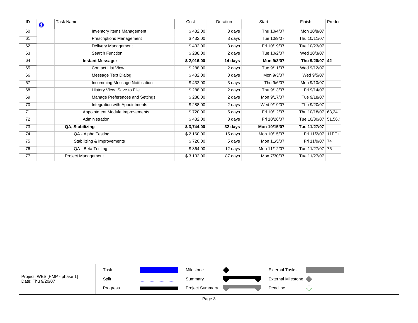| 60<br><b>Inventory Items Management</b><br>\$432.00<br>Thu 10/4/07<br>Mon 10/8/07<br>3 days<br>Tue 10/9/07<br>Thu 10/11/07<br>61<br><b>Prescriptions Management</b><br>\$432.00<br>3 days<br>Delivery Management<br>\$432.00<br>Fri 10/19/07<br>Tue 10/23/07<br>62<br>3 days<br>Search Function<br>Wed 10/3/07<br>63<br>\$288.00<br>2 days<br>Tue 10/2/07<br>64<br><b>Instant Messager</b><br>Mon 9/3/07<br>Thu 9/20/07 42<br>\$2,016.00<br>14 days<br><b>Contact List View</b><br>Tue 9/11/07<br>65<br>\$288.00<br>2 days<br>Wed 9/12/07<br>Message Text Dialog<br>66<br>\$432.00<br>3 days<br>Mon 9/3/07<br>Wed 9/5/07<br>67<br>Incomming Message Notification<br>Thu 9/6/07<br>\$432.00<br>3 days<br>Mon 9/10/07<br>68<br>History View, Save to File<br>\$288.00<br>2 days<br>Thu 9/13/07<br>Fri 9/14/07<br>69<br>Manage Preferences and Settings<br>Mon 9/17/07<br>\$288.00<br>2 days<br>Tue 9/18/07<br>70<br>Integration with Appointments<br>\$288.00<br>Wed 9/19/07<br>Thu 9/20/07<br>2 days<br>71<br>Appointment Module Improvements<br>\$720.00<br>5 days<br>Fri 10/12/07<br>Thu 10/18/07 63,24<br>72<br>Administration<br>\$432.00<br>3 days<br>Fri 10/26/07<br>Tue 10/30/07 51,56,<br>$\overline{73}$<br>QA, Stabilizing<br>Mon 10/15/07<br>Tue 11/27/07<br>\$3,744.00<br>32 days<br>$\overline{74}$<br>\$2,160.00<br>QA - Alpha Testing<br>15 days<br>Mon 10/15/07<br>Fri 11/2/07 11FF+<br>75<br><b>Stabilizing &amp; Improvements</b><br>\$720.00<br>Mon 11/5/07<br>Fri 11/9/07 74<br>5 days<br>$\overline{76}$<br>QA - Beta Testing<br>\$864.00<br>Mon 11/12/07<br>12 days<br>Tue 11/27/07 75<br>77<br>Project Management<br>\$3,132.00<br>87 days<br>Mon 7/30/07<br>Tue 11/27/07<br>Task<br><b>External Tasks</b><br>Milestone<br>Project: WBS [PMP - phase 1]<br><b>External Milestone</b><br>Split<br>Summary<br>Date: Thu 9/20/07<br><b>Project Summary</b><br>Deadline<br>Progress | ID | $\bullet$ | <b>Task Name</b> |  | Cost | Duration | Start | Finish | Preded |
|-------------------------------------------------------------------------------------------------------------------------------------------------------------------------------------------------------------------------------------------------------------------------------------------------------------------------------------------------------------------------------------------------------------------------------------------------------------------------------------------------------------------------------------------------------------------------------------------------------------------------------------------------------------------------------------------------------------------------------------------------------------------------------------------------------------------------------------------------------------------------------------------------------------------------------------------------------------------------------------------------------------------------------------------------------------------------------------------------------------------------------------------------------------------------------------------------------------------------------------------------------------------------------------------------------------------------------------------------------------------------------------------------------------------------------------------------------------------------------------------------------------------------------------------------------------------------------------------------------------------------------------------------------------------------------------------------------------------------------------------------------------------------------------------------------------------------------------------------------------------------------------------------------|----|-----------|------------------|--|------|----------|-------|--------|--------|
|                                                                                                                                                                                                                                                                                                                                                                                                                                                                                                                                                                                                                                                                                                                                                                                                                                                                                                                                                                                                                                                                                                                                                                                                                                                                                                                                                                                                                                                                                                                                                                                                                                                                                                                                                                                                                                                                                                       |    |           |                  |  |      |          |       |        |        |
|                                                                                                                                                                                                                                                                                                                                                                                                                                                                                                                                                                                                                                                                                                                                                                                                                                                                                                                                                                                                                                                                                                                                                                                                                                                                                                                                                                                                                                                                                                                                                                                                                                                                                                                                                                                                                                                                                                       |    |           |                  |  |      |          |       |        |        |
|                                                                                                                                                                                                                                                                                                                                                                                                                                                                                                                                                                                                                                                                                                                                                                                                                                                                                                                                                                                                                                                                                                                                                                                                                                                                                                                                                                                                                                                                                                                                                                                                                                                                                                                                                                                                                                                                                                       |    |           |                  |  |      |          |       |        |        |
|                                                                                                                                                                                                                                                                                                                                                                                                                                                                                                                                                                                                                                                                                                                                                                                                                                                                                                                                                                                                                                                                                                                                                                                                                                                                                                                                                                                                                                                                                                                                                                                                                                                                                                                                                                                                                                                                                                       |    |           |                  |  |      |          |       |        |        |
|                                                                                                                                                                                                                                                                                                                                                                                                                                                                                                                                                                                                                                                                                                                                                                                                                                                                                                                                                                                                                                                                                                                                                                                                                                                                                                                                                                                                                                                                                                                                                                                                                                                                                                                                                                                                                                                                                                       |    |           |                  |  |      |          |       |        |        |
|                                                                                                                                                                                                                                                                                                                                                                                                                                                                                                                                                                                                                                                                                                                                                                                                                                                                                                                                                                                                                                                                                                                                                                                                                                                                                                                                                                                                                                                                                                                                                                                                                                                                                                                                                                                                                                                                                                       |    |           |                  |  |      |          |       |        |        |
|                                                                                                                                                                                                                                                                                                                                                                                                                                                                                                                                                                                                                                                                                                                                                                                                                                                                                                                                                                                                                                                                                                                                                                                                                                                                                                                                                                                                                                                                                                                                                                                                                                                                                                                                                                                                                                                                                                       |    |           |                  |  |      |          |       |        |        |
|                                                                                                                                                                                                                                                                                                                                                                                                                                                                                                                                                                                                                                                                                                                                                                                                                                                                                                                                                                                                                                                                                                                                                                                                                                                                                                                                                                                                                                                                                                                                                                                                                                                                                                                                                                                                                                                                                                       |    |           |                  |  |      |          |       |        |        |
|                                                                                                                                                                                                                                                                                                                                                                                                                                                                                                                                                                                                                                                                                                                                                                                                                                                                                                                                                                                                                                                                                                                                                                                                                                                                                                                                                                                                                                                                                                                                                                                                                                                                                                                                                                                                                                                                                                       |    |           |                  |  |      |          |       |        |        |
|                                                                                                                                                                                                                                                                                                                                                                                                                                                                                                                                                                                                                                                                                                                                                                                                                                                                                                                                                                                                                                                                                                                                                                                                                                                                                                                                                                                                                                                                                                                                                                                                                                                                                                                                                                                                                                                                                                       |    |           |                  |  |      |          |       |        |        |
|                                                                                                                                                                                                                                                                                                                                                                                                                                                                                                                                                                                                                                                                                                                                                                                                                                                                                                                                                                                                                                                                                                                                                                                                                                                                                                                                                                                                                                                                                                                                                                                                                                                                                                                                                                                                                                                                                                       |    |           |                  |  |      |          |       |        |        |
|                                                                                                                                                                                                                                                                                                                                                                                                                                                                                                                                                                                                                                                                                                                                                                                                                                                                                                                                                                                                                                                                                                                                                                                                                                                                                                                                                                                                                                                                                                                                                                                                                                                                                                                                                                                                                                                                                                       |    |           |                  |  |      |          |       |        |        |
|                                                                                                                                                                                                                                                                                                                                                                                                                                                                                                                                                                                                                                                                                                                                                                                                                                                                                                                                                                                                                                                                                                                                                                                                                                                                                                                                                                                                                                                                                                                                                                                                                                                                                                                                                                                                                                                                                                       |    |           |                  |  |      |          |       |        |        |
|                                                                                                                                                                                                                                                                                                                                                                                                                                                                                                                                                                                                                                                                                                                                                                                                                                                                                                                                                                                                                                                                                                                                                                                                                                                                                                                                                                                                                                                                                                                                                                                                                                                                                                                                                                                                                                                                                                       |    |           |                  |  |      |          |       |        |        |
|                                                                                                                                                                                                                                                                                                                                                                                                                                                                                                                                                                                                                                                                                                                                                                                                                                                                                                                                                                                                                                                                                                                                                                                                                                                                                                                                                                                                                                                                                                                                                                                                                                                                                                                                                                                                                                                                                                       |    |           |                  |  |      |          |       |        |        |
|                                                                                                                                                                                                                                                                                                                                                                                                                                                                                                                                                                                                                                                                                                                                                                                                                                                                                                                                                                                                                                                                                                                                                                                                                                                                                                                                                                                                                                                                                                                                                                                                                                                                                                                                                                                                                                                                                                       |    |           |                  |  |      |          |       |        |        |
|                                                                                                                                                                                                                                                                                                                                                                                                                                                                                                                                                                                                                                                                                                                                                                                                                                                                                                                                                                                                                                                                                                                                                                                                                                                                                                                                                                                                                                                                                                                                                                                                                                                                                                                                                                                                                                                                                                       |    |           |                  |  |      |          |       |        |        |
|                                                                                                                                                                                                                                                                                                                                                                                                                                                                                                                                                                                                                                                                                                                                                                                                                                                                                                                                                                                                                                                                                                                                                                                                                                                                                                                                                                                                                                                                                                                                                                                                                                                                                                                                                                                                                                                                                                       |    |           |                  |  |      |          |       |        |        |
|                                                                                                                                                                                                                                                                                                                                                                                                                                                                                                                                                                                                                                                                                                                                                                                                                                                                                                                                                                                                                                                                                                                                                                                                                                                                                                                                                                                                                                                                                                                                                                                                                                                                                                                                                                                                                                                                                                       |    |           |                  |  |      |          |       |        |        |
|                                                                                                                                                                                                                                                                                                                                                                                                                                                                                                                                                                                                                                                                                                                                                                                                                                                                                                                                                                                                                                                                                                                                                                                                                                                                                                                                                                                                                                                                                                                                                                                                                                                                                                                                                                                                                                                                                                       |    |           |                  |  |      |          |       |        |        |
|                                                                                                                                                                                                                                                                                                                                                                                                                                                                                                                                                                                                                                                                                                                                                                                                                                                                                                                                                                                                                                                                                                                                                                                                                                                                                                                                                                                                                                                                                                                                                                                                                                                                                                                                                                                                                                                                                                       |    |           |                  |  |      |          |       |        |        |
|                                                                                                                                                                                                                                                                                                                                                                                                                                                                                                                                                                                                                                                                                                                                                                                                                                                                                                                                                                                                                                                                                                                                                                                                                                                                                                                                                                                                                                                                                                                                                                                                                                                                                                                                                                                                                                                                                                       |    |           |                  |  |      |          |       |        |        |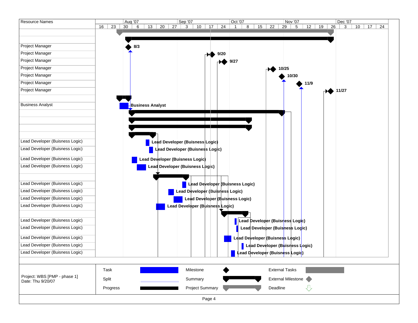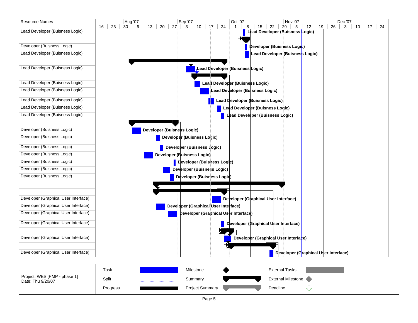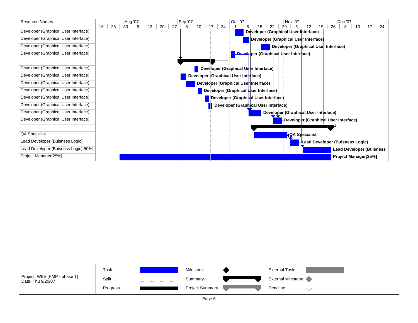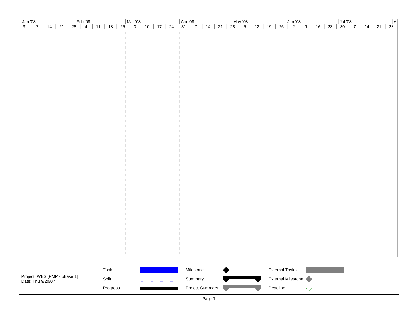| $\sqrt{\tan 0.08}$                                |        | Feb'08                        |                                                    | Mar '08 |         |  | Apr '08 |                    |  | May '08                           |            |                       | Jun '08            |                          |                    |  | Jul '08     |  |         |  | A               |
|---------------------------------------------------|--------|-------------------------------|----------------------------------------------------|---------|---------|--|---------|--------------------|--|-----------------------------------|------------|-----------------------|--------------------|--------------------------|--------------------|--|-------------|--|---------|--|-----------------|
| $31 \mid 7$                                       |        |                               | 14   21   28   4   11   18   25   3   10   17   24 |         |         |  |         | $31$   7   14   21 |  | $\overline{28}$<br>$\overline{5}$ | $12$ 19 26 |                       | $\overline{2}$   9 |                          | $\overline{16}$ 23 |  | $30 \mid 7$ |  | $14$ 21 |  | $\overline{28}$ |
|                                                   |        |                               |                                                    |         |         |  |         |                    |  |                                   |            |                       |                    |                          |                    |  |             |  |         |  |                 |
|                                                   |        |                               |                                                    |         |         |  |         |                    |  |                                   |            |                       |                    |                          |                    |  |             |  |         |  |                 |
|                                                   |        |                               |                                                    |         |         |  |         |                    |  |                                   |            |                       |                    |                          |                    |  |             |  |         |  |                 |
|                                                   |        |                               |                                                    |         |         |  |         |                    |  |                                   |            |                       |                    |                          |                    |  |             |  |         |  |                 |
|                                                   |        |                               |                                                    |         |         |  |         |                    |  |                                   |            |                       |                    |                          |                    |  |             |  |         |  |                 |
|                                                   |        |                               |                                                    |         |         |  |         |                    |  |                                   |            |                       |                    |                          |                    |  |             |  |         |  |                 |
|                                                   |        |                               |                                                    |         |         |  |         |                    |  |                                   |            |                       |                    |                          |                    |  |             |  |         |  |                 |
|                                                   |        |                               |                                                    |         |         |  |         |                    |  |                                   |            |                       |                    |                          |                    |  |             |  |         |  |                 |
|                                                   |        |                               |                                                    |         |         |  |         |                    |  |                                   |            |                       |                    |                          |                    |  |             |  |         |  |                 |
|                                                   |        |                               |                                                    |         |         |  |         |                    |  |                                   |            |                       |                    |                          |                    |  |             |  |         |  |                 |
|                                                   |        |                               |                                                    |         |         |  |         |                    |  |                                   |            |                       |                    |                          |                    |  |             |  |         |  |                 |
|                                                   |        |                               |                                                    |         |         |  |         |                    |  |                                   |            |                       |                    |                          |                    |  |             |  |         |  |                 |
|                                                   |        |                               |                                                    |         |         |  |         |                    |  |                                   |            |                       |                    |                          |                    |  |             |  |         |  |                 |
|                                                   |        |                               |                                                    |         |         |  |         |                    |  |                                   |            |                       |                    |                          |                    |  |             |  |         |  |                 |
|                                                   |        |                               |                                                    |         |         |  |         |                    |  |                                   |            |                       |                    |                          |                    |  |             |  |         |  |                 |
|                                                   |        |                               |                                                    |         |         |  |         |                    |  |                                   |            |                       |                    |                          |                    |  |             |  |         |  |                 |
|                                                   |        |                               |                                                    |         |         |  |         |                    |  |                                   |            |                       |                    |                          |                    |  |             |  |         |  |                 |
|                                                   |        |                               |                                                    |         |         |  |         |                    |  |                                   |            |                       |                    |                          |                    |  |             |  |         |  |                 |
|                                                   |        |                               |                                                    |         |         |  |         |                    |  |                                   |            |                       |                    |                          |                    |  |             |  |         |  |                 |
|                                                   |        |                               |                                                    |         |         |  |         |                    |  |                                   |            |                       |                    |                          |                    |  |             |  |         |  |                 |
|                                                   |        |                               |                                                    |         |         |  |         |                    |  |                                   |            |                       |                    |                          |                    |  |             |  |         |  |                 |
|                                                   |        |                               |                                                    |         |         |  |         |                    |  |                                   |            |                       |                    |                          |                    |  |             |  |         |  |                 |
|                                                   |        |                               |                                                    |         |         |  |         |                    |  |                                   |            |                       |                    |                          |                    |  |             |  |         |  |                 |
|                                                   |        |                               |                                                    |         |         |  |         |                    |  |                                   |            |                       |                    |                          |                    |  |             |  |         |  |                 |
|                                                   |        |                               |                                                    |         |         |  |         |                    |  |                                   |            |                       |                    |                          |                    |  |             |  |         |  |                 |
|                                                   |        |                               |                                                    |         |         |  |         |                    |  |                                   |            |                       |                    |                          |                    |  |             |  |         |  |                 |
|                                                   |        |                               |                                                    |         |         |  |         |                    |  |                                   |            |                       |                    |                          |                    |  |             |  |         |  |                 |
|                                                   |        |                               |                                                    |         |         |  |         |                    |  |                                   |            |                       |                    |                          |                    |  |             |  |         |  |                 |
|                                                   |        |                               |                                                    |         |         |  |         |                    |  |                                   |            |                       |                    |                          |                    |  |             |  |         |  |                 |
|                                                   |        |                               |                                                    |         |         |  |         |                    |  |                                   |            |                       |                    |                          |                    |  |             |  |         |  |                 |
|                                                   |        |                               |                                                    |         |         |  |         |                    |  |                                   |            |                       |                    |                          |                    |  |             |  |         |  |                 |
|                                                   |        |                               |                                                    |         |         |  |         |                    |  |                                   |            |                       |                    |                          |                    |  |             |  |         |  |                 |
|                                                   |        |                               |                                                    |         |         |  |         |                    |  |                                   |            |                       |                    |                          |                    |  |             |  |         |  |                 |
|                                                   |        |                               |                                                    |         |         |  |         |                    |  |                                   |            |                       |                    |                          |                    |  |             |  |         |  |                 |
|                                                   |        |                               |                                                    |         |         |  |         |                    |  |                                   |            |                       |                    |                          |                    |  |             |  |         |  |                 |
|                                                   |        |                               |                                                    |         |         |  |         |                    |  |                                   |            |                       |                    |                          |                    |  |             |  |         |  |                 |
|                                                   |        |                               |                                                    |         |         |  |         |                    |  |                                   |            |                       |                    |                          |                    |  |             |  |         |  |                 |
|                                                   |        |                               |                                                    |         |         |  |         |                    |  |                                   |            |                       |                    |                          |                    |  |             |  |         |  |                 |
|                                                   |        |                               |                                                    |         |         |  |         |                    |  |                                   |            |                       |                    |                          |                    |  |             |  |         |  |                 |
|                                                   |        |                               |                                                    |         |         |  |         |                    |  |                                   |            |                       |                    |                          |                    |  |             |  |         |  |                 |
|                                                   |        |                               |                                                    |         |         |  |         |                    |  |                                   |            |                       |                    |                          |                    |  |             |  |         |  |                 |
|                                                   |        |                               |                                                    |         |         |  |         |                    |  |                                   |            |                       |                    |                          |                    |  |             |  |         |  |                 |
|                                                   |        |                               |                                                    |         |         |  |         |                    |  |                                   |            |                       |                    |                          |                    |  |             |  |         |  |                 |
|                                                   |        |                               | Task                                               |         |         |  |         | Milestone          |  |                                   |            | <b>External Tasks</b> |                    |                          |                    |  |             |  |         |  |                 |
| Project: WBS [PMP - phase 1]<br>Date: Thu 9/20/07 |        |                               |                                                    |         |         |  |         |                    |  |                                   |            |                       |                    |                          |                    |  |             |  |         |  |                 |
|                                                   |        | Split<br>10000000000000000000 |                                                    |         | Summary |  |         |                    |  | <b>External Milestone</b>         |            |                       |                    |                          |                    |  |             |  |         |  |                 |
|                                                   |        |                               | Progress                                           |         |         |  |         | Project Summary    |  |                                   |            | Deadline              |                    | $\overline{\mathcal{L}}$ |                    |  |             |  |         |  |                 |
|                                                   |        |                               |                                                    |         |         |  |         |                    |  |                                   |            |                       |                    |                          |                    |  |             |  |         |  |                 |
|                                                   | Page 7 |                               |                                                    |         |         |  |         |                    |  |                                   |            |                       |                    |                          |                    |  |             |  |         |  |                 |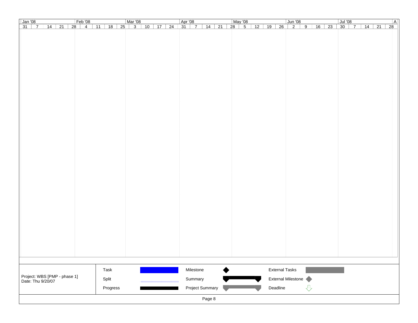| $\sqrt{\tan 0.08}$<br>Feb'08                                      | Mar '08  |                      | Apr '08                     | May '08                                         | Jun '08                                  | A <br>Jul '08                             |  |  |  |  |  |
|-------------------------------------------------------------------|----------|----------------------|-----------------------------|-------------------------------------------------|------------------------------------------|-------------------------------------------|--|--|--|--|--|
| 14   21   28   4   11   18   25   3   10   17   24<br>$31 \mid 7$ |          |                      | $31 \mid 7 \mid 14 \mid 21$ | $\overline{28}$<br>$\overline{5}$<br>$12$ 19 26 | $\overline{2}$   9<br>$\overline{16}$ 23 | $14$ 21<br>$\overline{28}$<br>$30 \mid 7$ |  |  |  |  |  |
|                                                                   |          |                      |                             |                                                 |                                          |                                           |  |  |  |  |  |
|                                                                   |          |                      |                             |                                                 |                                          |                                           |  |  |  |  |  |
|                                                                   |          |                      |                             |                                                 |                                          |                                           |  |  |  |  |  |
|                                                                   |          |                      |                             |                                                 |                                          |                                           |  |  |  |  |  |
|                                                                   |          |                      |                             |                                                 |                                          |                                           |  |  |  |  |  |
|                                                                   |          |                      |                             |                                                 |                                          |                                           |  |  |  |  |  |
|                                                                   |          |                      |                             |                                                 |                                          |                                           |  |  |  |  |  |
|                                                                   |          |                      |                             |                                                 |                                          |                                           |  |  |  |  |  |
|                                                                   |          |                      |                             |                                                 |                                          |                                           |  |  |  |  |  |
|                                                                   |          |                      |                             |                                                 |                                          |                                           |  |  |  |  |  |
|                                                                   |          |                      |                             |                                                 |                                          |                                           |  |  |  |  |  |
|                                                                   |          |                      |                             |                                                 |                                          |                                           |  |  |  |  |  |
|                                                                   |          |                      |                             |                                                 |                                          |                                           |  |  |  |  |  |
|                                                                   |          |                      |                             |                                                 |                                          |                                           |  |  |  |  |  |
|                                                                   |          |                      |                             |                                                 |                                          |                                           |  |  |  |  |  |
|                                                                   |          |                      |                             |                                                 |                                          |                                           |  |  |  |  |  |
|                                                                   |          |                      |                             |                                                 |                                          |                                           |  |  |  |  |  |
|                                                                   |          |                      |                             |                                                 |                                          |                                           |  |  |  |  |  |
|                                                                   |          |                      |                             |                                                 |                                          |                                           |  |  |  |  |  |
|                                                                   |          |                      |                             |                                                 |                                          |                                           |  |  |  |  |  |
|                                                                   |          |                      |                             |                                                 |                                          |                                           |  |  |  |  |  |
|                                                                   |          |                      |                             |                                                 |                                          |                                           |  |  |  |  |  |
|                                                                   |          |                      |                             |                                                 |                                          |                                           |  |  |  |  |  |
|                                                                   |          |                      |                             |                                                 |                                          |                                           |  |  |  |  |  |
|                                                                   |          |                      |                             |                                                 |                                          |                                           |  |  |  |  |  |
|                                                                   |          |                      |                             |                                                 |                                          |                                           |  |  |  |  |  |
|                                                                   |          |                      |                             |                                                 |                                          |                                           |  |  |  |  |  |
|                                                                   |          |                      |                             |                                                 |                                          |                                           |  |  |  |  |  |
|                                                                   |          |                      |                             |                                                 |                                          |                                           |  |  |  |  |  |
|                                                                   |          |                      |                             |                                                 |                                          |                                           |  |  |  |  |  |
|                                                                   |          |                      |                             |                                                 |                                          |                                           |  |  |  |  |  |
|                                                                   |          |                      |                             |                                                 |                                          |                                           |  |  |  |  |  |
|                                                                   |          |                      |                             |                                                 |                                          |                                           |  |  |  |  |  |
|                                                                   |          |                      |                             |                                                 |                                          |                                           |  |  |  |  |  |
|                                                                   |          |                      |                             |                                                 |                                          |                                           |  |  |  |  |  |
|                                                                   |          |                      |                             |                                                 |                                          |                                           |  |  |  |  |  |
|                                                                   |          |                      |                             |                                                 |                                          |                                           |  |  |  |  |  |
|                                                                   |          |                      |                             |                                                 |                                          |                                           |  |  |  |  |  |
|                                                                   |          |                      |                             |                                                 |                                          |                                           |  |  |  |  |  |
|                                                                   |          |                      |                             |                                                 |                                          |                                           |  |  |  |  |  |
|                                                                   |          |                      |                             |                                                 |                                          |                                           |  |  |  |  |  |
|                                                                   |          |                      |                             |                                                 |                                          |                                           |  |  |  |  |  |
|                                                                   |          |                      |                             |                                                 |                                          |                                           |  |  |  |  |  |
|                                                                   | Task     |                      | Milestone                   | <b>External Tasks</b>                           |                                          |                                           |  |  |  |  |  |
|                                                                   |          |                      |                             |                                                 |                                          |                                           |  |  |  |  |  |
| Project: WBS [PMP - phase 1]<br>Date: Thu 9/20/07                 | Split    | 10000000000000000000 | Summary                     |                                                 | <b>External Milestone</b>                |                                           |  |  |  |  |  |
|                                                                   | Progress |                      | Project Summary             | Deadline                                        | $\overline{\mathcal{L}}$                 |                                           |  |  |  |  |  |
|                                                                   |          |                      |                             |                                                 |                                          |                                           |  |  |  |  |  |
| Page 8                                                            |          |                      |                             |                                                 |                                          |                                           |  |  |  |  |  |